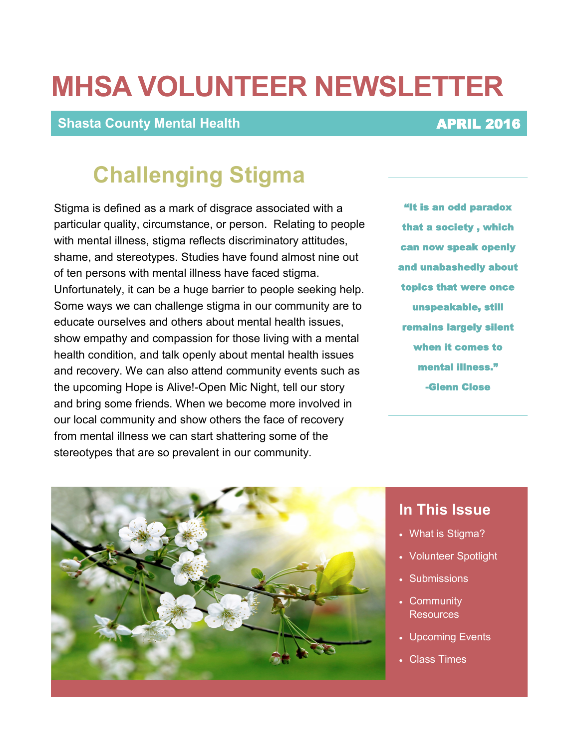# **MHSA VOLUNTEER NEWSLETTER**

#### **Shasta County Mental Health** Apple April 2016

### **Challenging Stigma**

Stigma is defined as a mark of disgrace associated with a particular quality, circumstance, or person. Relating to people with mental illness, stigma reflects discriminatory attitudes, shame, and stereotypes. Studies have found almost nine out of ten persons with mental illness have faced stigma. Unfortunately, it can be a huge barrier to people seeking help. Some ways we can challenge stigma in our community are to educate ourselves and others about mental health issues, show empathy and compassion for those living with a mental health condition, and talk openly about mental health issues and recovery. We can also attend community events such as the upcoming Hope is Alive!-Open Mic Night, tell our story and bring some friends. When we become more involved in our local community and show others the face of recovery from mental illness we can start shattering some of the stereotypes that are so prevalent in our community.

"It is an odd paradox that a society , which can now speak openly and unabashedly about topics that were once unspeakable, still remains largely silent when it comes to mental illness." -Glenn Close



### **In This Issue**

- What is Stigma?
- Volunteer Spotlight
- **Submissions**
- Community **Resources**
- Upcoming Events
- Class Times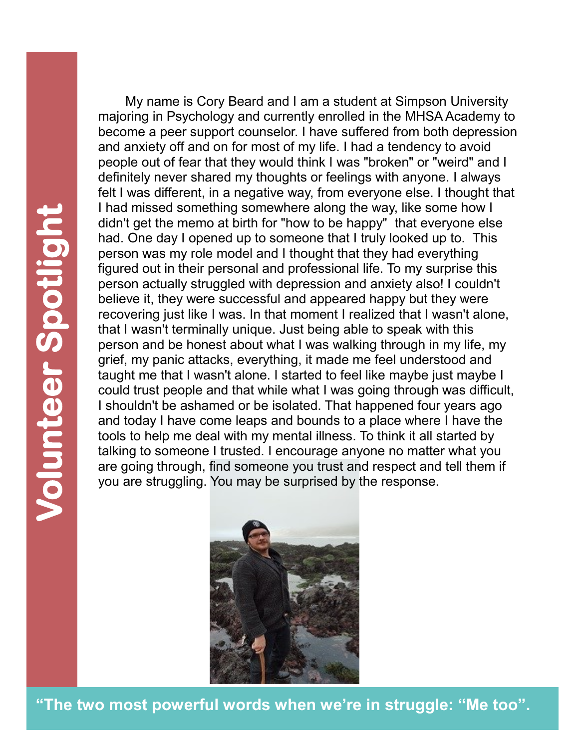My name is Cory Beard and I am a student at Simpson University majoring in Psychology and currently enrolled in the MHSA Academy to become a peer support counselor. I have suffered from both depression and anxiety off and on for most of my life. I had a tendency to avoid people out of fear that they would think I was "broken" or "weird" and I definitely never shared my thoughts or feelings with anyone. I always felt I was different, in a negative way, from everyone else. I thought that I had missed something somewhere along the way, like some how I didn't get the memo at birth for "how to be happy" that everyone else had. One day I opened up to someone that I truly looked up to. This person was my role model and I thought that they had everything figured out in their personal and professional life. To my surprise this person actually struggled with depression and anxiety also! I couldn't believe it, they were successful and appeared happy but they were recovering just like I was. In that moment I realized that I wasn't alone, that I wasn't terminally unique. Just being able to speak with this person and be honest about what I was walking through in my life, my grief, my panic attacks, everything, it made me feel understood and taught me that I wasn't alone. I started to feel like maybe just maybe I could trust people and that while what I was going through was difficult, I shouldn't be ashamed or be isolated. That happened four years ago and today I have come leaps and bounds to a place where I have the tools to help me deal with my mental illness. To think it all started by talking to someone I trusted. I encourage anyone no matter what you are going through, find someone you trust and respect and tell them if you are struggling. You may be surprised by the response.



**"The two most powerful words when we're in struggle: "Me too".**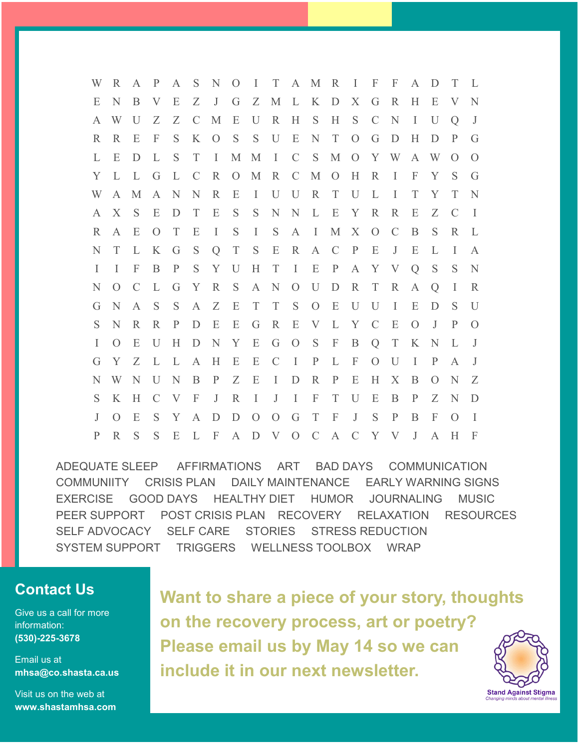W R A P A S N O I T A M R I F F A D T L E N B V E Z J G Z M L K D X G R H E V N A W U Z Z C M E U R H S H S C N I U Q J R R E F S K O S S U E N T O G D H D P G L E D L S T I M M I C S M O Y W A W O O Y L L G L C R O M R C M O H R I F Y S G W A M A N N R E I U U R T U L I T Y T N A X S E D T E S S N N L E Y R R E Z C I R A E O T E I S I S A I M X O C B S R L N T L K G S Q T S E R A C P E J E L I A I I F B P S Y U H T I E P A Y V Q S S N N O C L G Y R S A N O U D R T R A Q I R G N A S S A Z E T T S O E U U I E D S U S N R R P D E E G R E V L Y C E O J P O I O E U H D N Y E G O S F B Q T K N L J G Y Z L L A H E E C I P L F O U I P A J N W N U N B P Z E I D R P E H X B O N Z S K H C V F J R I J I F T U E B P Z N D J O E S Y A D D O O G T F J S P B F O I P R S S E L F A D V O C A C Y V J A H F

ADEQUATE SLEEP AFFIRMATIONS ART BAD DAYS COMMUNICATION COMMUNIITY CRISIS PLAN DAILY MAINTENANCE EARLY WARNING SIGNS EXERCISE GOOD DAYS HEALTHY DIET HUMOR JOURNALING MUSIC PEER SUPPORT POST CRISIS PLAN RECOVERY RELAXATION RESOURCES SELF ADVOCACY SELF CARE STORIES STRESS REDUCTION SYSTEM SUPPORT TRIGGERS WELLNESS TOOLBOX WRAP

#### **Contact Us**

Give us a call for more information: **(530)-225-3678**

Email us at **mhsa@co.shasta.ca.us** 

Visit us on the web at **www.shastamhsa.com** **Want to share a piece of your story, thoughts on the recovery process, art or poetry? Please email us by May 14 so we can include it in our next newsletter.**